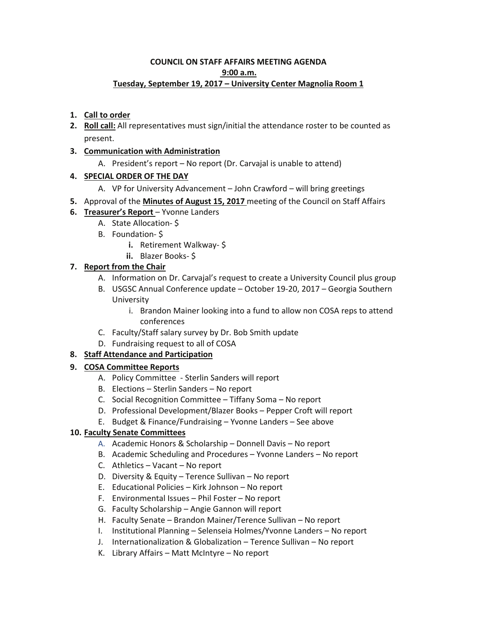#### **COUNCIL ON STAFF AFFAIRS MEETING AGENDA 9:00 a.m. Tuesday, September 19, 2017 – University Center Magnolia Room 1**

## **1. Call to order**

**2. Roll call:** All representatives must sign/initial the attendance roster to be counted as present.

### **3. Communication with Administration**

A. President's report – No report (Dr. Carvajal is unable to attend)

## **4. SPECIAL ORDER OF THE DAY**

- A. VP for University Advancement John Crawford will bring greetings
- **5.** Approval of the **Minutes of August 15, 2017** meeting of the Council on Staff Affairs

## **6. Treasurer's Report** – Yvonne Landers

- A. State Allocation- \$
- B. Foundation- \$
	- **i.** Retirement Walkway- \$
	- **ii.** Blazer Books- \$

# **7. Report from the Chair**

- A. Information on Dr. Carvajal's request to create a University Council plus group
- B. USGSC Annual Conference update October 19-20, 2017 Georgia Southern University
	- i. Brandon Mainer looking into a fund to allow non COSA reps to attend conferences
- C. Faculty/Staff salary survey by Dr. Bob Smith update
- D. Fundraising request to all of COSA

# **8. Staff Attendance and Participation**

### **9. COSA Committee Reports**

- A. Policy Committee Sterlin Sanders will report
- B. Elections Sterlin Sanders No report
- C. Social Recognition Committee Tiffany Soma No report
- D. Professional Development/Blazer Books Pepper Croft will report
- E. Budget & Finance/Fundraising Yvonne Landers See above

### **10. Faculty Senate Committees**

- A. Academic Honors & Scholarship Donnell Davis No report
- B. Academic Scheduling and Procedures Yvonne Landers No report
- C. Athletics Vacant No report
- D. Diversity & Equity Terence Sullivan No report
- E. Educational Policies Kirk Johnson No report
- F. Environmental Issues Phil Foster No report
- G. Faculty Scholarship Angie Gannon will report
- H. Faculty Senate Brandon Mainer/Terence Sullivan No report
- I. Institutional Planning Selenseia Holmes/Yvonne Landers No report
- J. Internationalization & Globalization Terence Sullivan No report
- K. Library Affairs Matt McIntyre No report